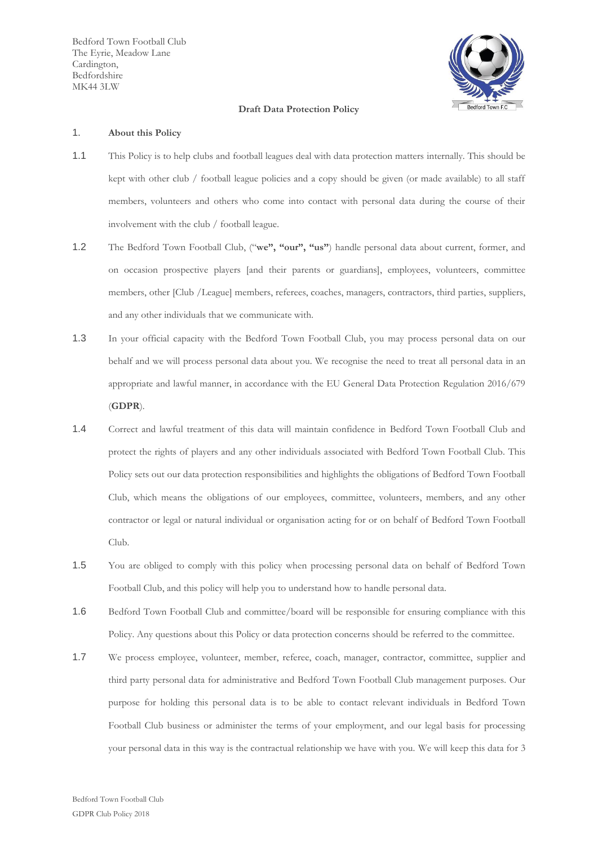Bedford Town Football Club The Eyrie, Meadow Lane Cardington, Bedfordshire MK44 3LW



### **Draft Data Protection Policy**

#### 1. **About this Policy**

- 1.1 This Policy is to help clubs and football leagues deal with data protection matters internally. This should be kept with other club / football league policies and a copy should be given (or made available) to all staff members, volunteers and others who come into contact with personal data during the course of their involvement with the club / football league.
- 1.2 The Bedford Town Football Club, ("**we", "our", "us"**) handle personal data about current, former, and on occasion prospective players [and their parents or guardians], employees, volunteers, committee members, other [Club /League] members, referees, coaches, managers, contractors, third parties, suppliers, and any other individuals that we communicate with.
- 1.3 In your official capacity with the Bedford Town Football Club, you may process personal data on our behalf and we will process personal data about you. We recognise the need to treat all personal data in an appropriate and lawful manner, in accordance with the EU General Data Protection Regulation 2016/679 (**GDPR**).
- 1.4 Correct and lawful treatment of this data will maintain confidence in Bedford Town Football Club and protect the rights of players and any other individuals associated with Bedford Town Football Club. This Policy sets out our data protection responsibilities and highlights the obligations of Bedford Town Football Club, which means the obligations of our employees, committee, volunteers, members, and any other contractor or legal or natural individual or organisation acting for or on behalf of Bedford Town Football Club.
- 1.5 You are obliged to comply with this policy when processing personal data on behalf of Bedford Town Football Club, and this policy will help you to understand how to handle personal data.
- 1.6 Bedford Town Football Club and committee/board will be responsible for ensuring compliance with this Policy. Any questions about this Policy or data protection concerns should be referred to the committee.
- 1.7 We process employee, volunteer, member, referee, coach, manager, contractor, committee, supplier and third party personal data for administrative and Bedford Town Football Club management purposes. Our purpose for holding this personal data is to be able to contact relevant individuals in Bedford Town Football Club business or administer the terms of your employment, and our legal basis for processing your personal data in this way is the contractual relationship we have with you. We will keep this data for 3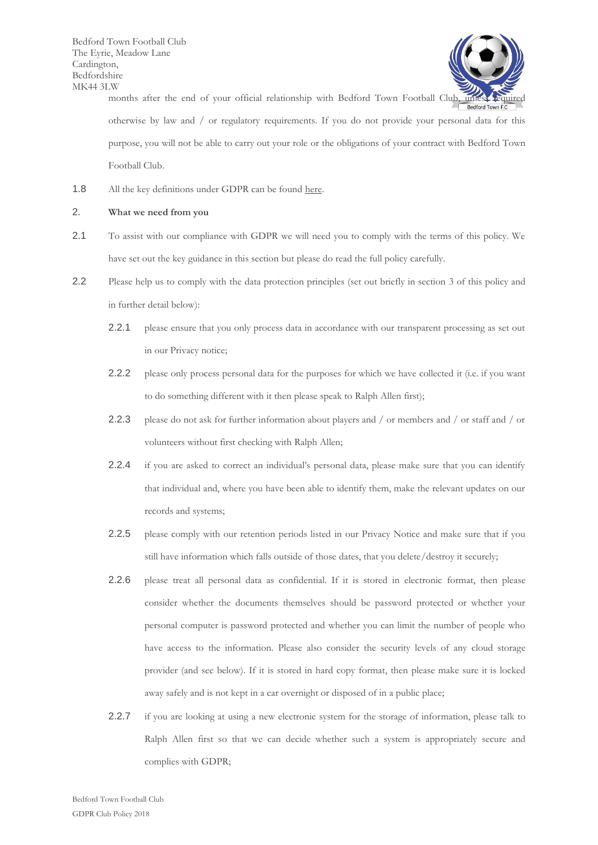Bedford Town Football Club The Eyrie, Meadow Lane Cardington, Bedfordshire MK44 3LW



LW months after the end of your official relationship with Bedford Town Football Club, unless required otherwise by law and / or regulatory requirements. If you do not provide your personal data for this purpose, you will not be able to carry out your role or the obligations of your contract with Bedford Town Football Club.

1.8 All the key definitions under GDPR can be found [here.](https://ico.org.uk/for-organisations/guide-to-the-general-data-protection-regulation-gdpr/key-definitions/)

### 2. **What we need from you**

- 2.1 To assist with our compliance with GDPR we will need you to comply with the terms of this policy. We have set out the key guidance in this section but please do read the full policy carefully.
- 2.2 Please help us to comply with the data protection principles (set out briefly in section [3](#page-2-0) of this policy and in further detail below):
	- 2.2.1 please ensure that you only process data in accordance with our transparent processing as set out in our Privacy notice;
	- 2.2.2 please only process personal data for the purposes for which we have collected it (i.e. if you want to do something different with it then please speak to Ralph Allen first);
	- 2.2.3 please do not ask for further information about players and / or members and / or staff and / or volunteers without first checking with Ralph Allen;
	- 2.2.4 if you are asked to correct an individual's personal data, please make sure that you can identify that individual and, where you have been able to identify them, make the relevant updates on our records and systems;
	- 2.2.5 please comply with our retention periods listed in our Privacy Notice and make sure that if you still have information which falls outside of those dates, that you delete/destroy it securely;
	- 2.2.6 please treat all personal data as confidential. If it is stored in electronic format, then please consider whether the documents themselves should be password protected or whether your personal computer is password protected and whether you can limit the number of people who have access to the information. Please also consider the security levels of any cloud storage provider (and see below). If it is stored in hard copy format, then please make sure it is locked away safely and is not kept in a car overnight or disposed of in a public place;
	- 2.2.7 if you are looking at using a new electronic system for the storage of information, please talk to Ralph Allen first so that we can decide whether such a system is appropriately secure and complies with GDPR;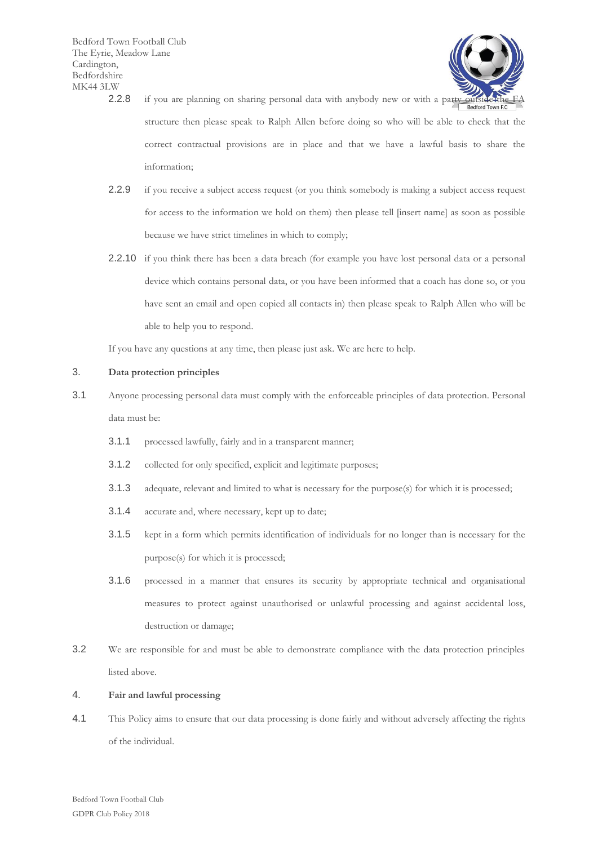

- 2.2.8 if you are planning on sharing personal data with anybody new or with a party outside the structure then please speak to Ralph Allen before doing so who will be able to check that the correct contractual provisions are in place and that we have a lawful basis to share the information;
- 2.2.9 if you receive a subject access request (or you think somebody is making a subject access request for access to the information we hold on them) then please tell [insert name] as soon as possible because we have strict timelines in which to comply;
- 2.2.10 if you think there has been a data breach (for example you have lost personal data or a personal device which contains personal data, or you have been informed that a coach has done so, or you have sent an email and open copied all contacts in) then please speak to Ralph Allen who will be able to help you to respond.

If you have any questions at any time, then please just ask. We are here to help.

## <span id="page-2-0"></span>3. **Data protection principles**

- 3.1 Anyone processing personal data must comply with the enforceable principles of data protection. Personal data must be:
	- 3.1.1 processed lawfully, fairly and in a transparent manner;
	- 3.1.2 collected for only specified, explicit and legitimate purposes;
	- 3.1.3 adequate, relevant and limited to what is necessary for the purpose(s) for which it is processed;
	- 3.1.4 accurate and, where necessary, kept up to date;
	- 3.1.5 kept in a form which permits identification of individuals for no longer than is necessary for the purpose(s) for which it is processed;
	- 3.1.6 processed in a manner that ensures its security by appropriate technical and organisational measures to protect against unauthorised or unlawful processing and against accidental loss, destruction or damage;
- 3.2 We are responsible for and must be able to demonstrate compliance with the data protection principles listed above.

## 4. **Fair and lawful processing**

4.1 This Policy aims to ensure that our data processing is done fairly and without adversely affecting the rights of the individual.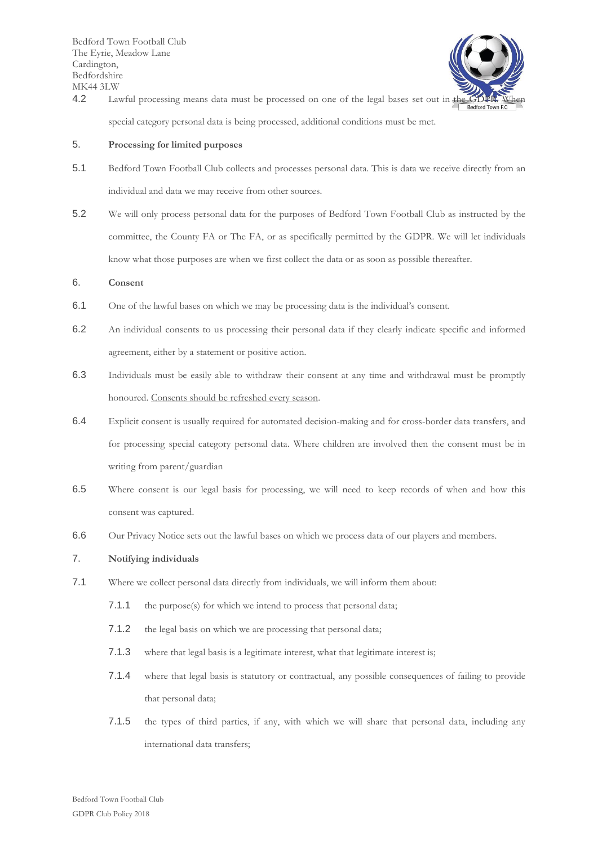

4.2 Lawful processing means data must be processed on one of the legal bases set out in the G special category personal data is being processed, additional conditions must be met.

### 5. **Processing for limited purposes**

- 5.1 Bedford Town Football Club collects and processes personal data. This is data we receive directly from an individual and data we may receive from other sources.
- 5.2 We will only process personal data for the purposes of Bedford Town Football Club as instructed by the committee, the County FA or The FA, or as specifically permitted by the GDPR. We will let individuals know what those purposes are when we first collect the data or as soon as possible thereafter.

# 6. **Consent**

- 6.1 One of the lawful bases on which we may be processing data is the individual's consent.
- 6.2 An individual consents to us processing their personal data if they clearly indicate specific and informed agreement, either by a statement or positive action.
- 6.3 Individuals must be easily able to withdraw their consent at any time and withdrawal must be promptly honoured. Consents should be refreshed every season.
- 6.4 Explicit consent is usually required for automated decision-making and for cross-border data transfers, and for processing special category personal data. Where children are involved then the consent must be in writing from parent/guardian
- 6.5 Where consent is our legal basis for processing, we will need to keep records of when and how this consent was captured.
- 6.6 Our Privacy Notice sets out the lawful bases on which we process data of our players and members.

## 7. **Notifying individuals**

- 7.1 Where we collect personal data directly from individuals, we will inform them about:
	- 7.1.1 the purpose(s) for which we intend to process that personal data;
	- 7.1.2 the legal basis on which we are processing that personal data;
	- 7.1.3 where that legal basis is a legitimate interest, what that legitimate interest is;
	- 7.1.4 where that legal basis is statutory or contractual, any possible consequences of failing to provide that personal data;
	- 7.1.5 the types of third parties, if any, with which we will share that personal data, including any international data transfers;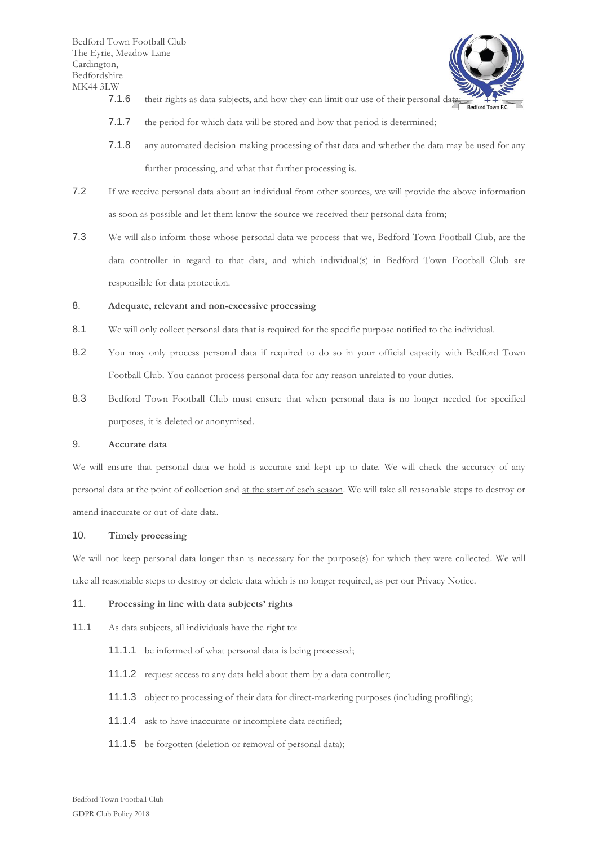

- 7.1.6 their rights as data subjects, and how they can limit our use of their personal data;
- 7.1.7 the period for which data will be stored and how that period is determined;
- 7.1.8 any automated decision-making processing of that data and whether the data may be used for any further processing, and what that further processing is.
- 7.2 If we receive personal data about an individual from other sources, we will provide the above information as soon as possible and let them know the source we received their personal data from;
- 7.3 We will also inform those whose personal data we process that we, Bedford Town Football Club, are the data controller in regard to that data, and which individual(s) in Bedford Town Football Club are responsible for data protection.

# 8. **Adequate, relevant and non-excessive processing**

- 8.1 We will only collect personal data that is required for the specific purpose notified to the individual.
- 8.2 You may only process personal data if required to do so in your official capacity with Bedford Town Football Club. You cannot process personal data for any reason unrelated to your duties.
- 8.3 Bedford Town Football Club must ensure that when personal data is no longer needed for specified purposes, it is deleted or anonymised.

# 9. **Accurate data**

We will ensure that personal data we hold is accurate and kept up to date. We will check the accuracy of any personal data at the point of collection and at the start of each season. We will take all reasonable steps to destroy or amend inaccurate or out-of-date data.

### 10. **Timely processing**

We will not keep personal data longer than is necessary for the purpose(s) for which they were collected. We will take all reasonable steps to destroy or delete data which is no longer required, as per our Privacy Notice.

### 11. **Processing in line with data subjects' rights**

- 11.1 As data subjects, all individuals have the right to:
	- 11.1.1 be informed of what personal data is being processed;
	- 11.1.2 request access to any data held about them by a data controller;
	- 11.1.3 object to processing of their data for direct-marketing purposes (including profiling);
	- 11.1.4 ask to have inaccurate or incomplete data rectified;
	- 11.1.5 be forgotten (deletion or removal of personal data);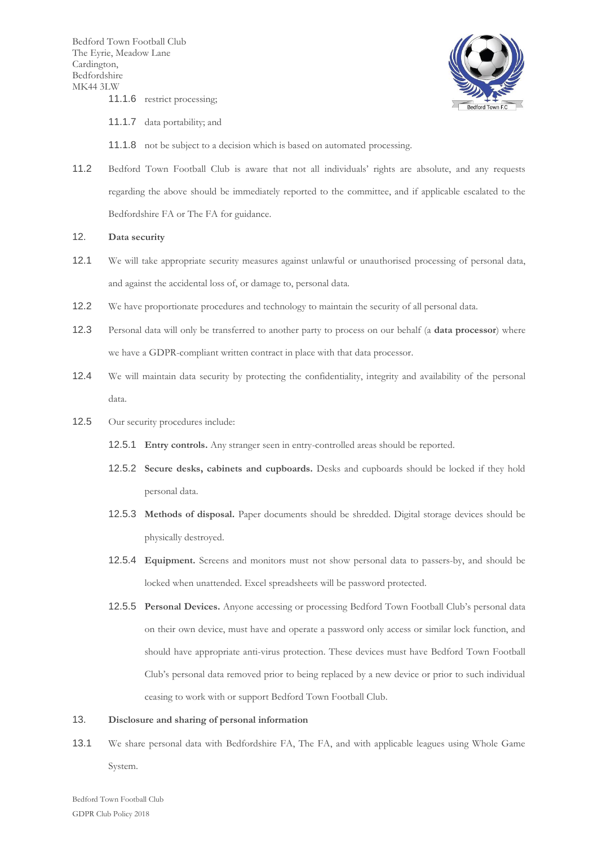

- 11.1.7 data portability; and
- 11.1.8 not be subject to a decision which is based on automated processing.
- 11.2 Bedford Town Football Club is aware that not all individuals' rights are absolute, and any requests regarding the above should be immediately reported to the committee, and if applicable escalated to the Bedfordshire FA or The FA for guidance.
- 12. **Data security**
- 12.1 We will take appropriate security measures against unlawful or unauthorised processing of personal data, and against the accidental loss of, or damage to, personal data.
- 12.2 We have proportionate procedures and technology to maintain the security of all personal data.
- 12.3 Personal data will only be transferred to another party to process on our behalf (a **data processor**) where we have a GDPR-compliant written contract in place with that data processor.
- 12.4 We will maintain data security by protecting the confidentiality, integrity and availability of the personal data.
- 12.5 Our security procedures include:
	- 12.5.1 **Entry controls.** Any stranger seen in entry-controlled areas should be reported.
	- 12.5.2 **Secure desks, cabinets and cupboards.** Desks and cupboards should be locked if they hold personal data.
	- 12.5.3 **Methods of disposal.** Paper documents should be shredded. Digital storage devices should be physically destroyed.
	- 12.5.4 **Equipment.** Screens and monitors must not show personal data to passers-by, and should be locked when unattended. Excel spreadsheets will be password protected.
	- 12.5.5 **Personal Devices.** Anyone accessing or processing Bedford Town Football Club's personal data on their own device, must have and operate a password only access or similar lock function, and should have appropriate anti-virus protection. These devices must have Bedford Town Football Club's personal data removed prior to being replaced by a new device or prior to such individual ceasing to work with or support Bedford Town Football Club.

#### 13. **Disclosure and sharing of personal information**

13.1 We share personal data with Bedfordshire FA, The FA, and with applicable leagues using Whole Game System.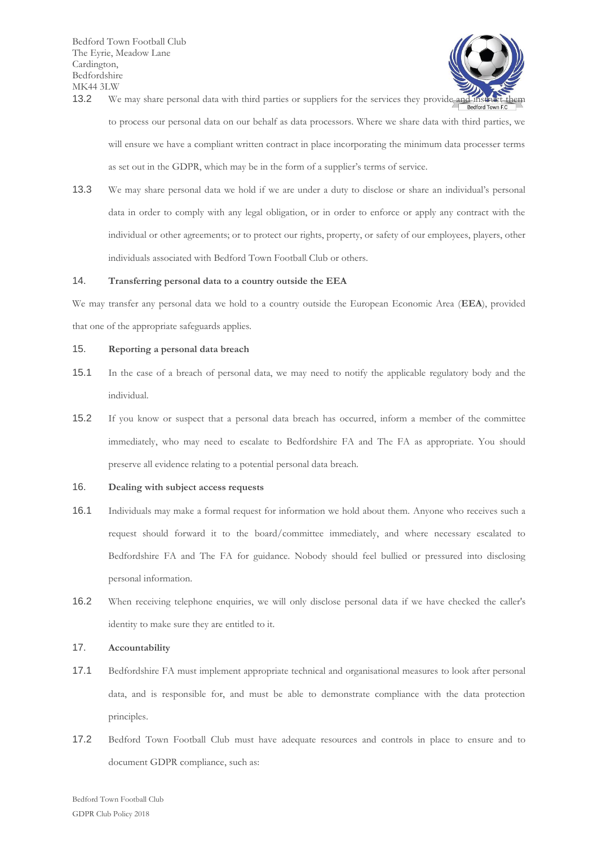

- 13.2 We may share personal data with third parties or suppliers for the services they provide and instruct them to process our personal data on our behalf as data processors. Where we share data with third parties, we will ensure we have a compliant written contract in place incorporating the minimum data processer terms as set out in the GDPR, which may be in the form of a supplier's terms of service.
- 13.3 We may share personal data we hold if we are under a duty to disclose or share an individual's personal data in order to comply with any legal obligation, or in order to enforce or apply any contract with the individual or other agreements; or to protect our rights, property, or safety of our employees, players, other individuals associated with Bedford Town Football Club or others.

## 14. **Transferring personal data to a country outside the EEA**

We may transfer any personal data we hold to a country outside the European Economic Area (**EEA**), provided that one of the appropriate safeguards applies.

## 15. **Reporting a personal data breach**

- 15.1 In the case of a breach of personal data, we may need to notify the applicable regulatory body and the individual.
- 15.2 If you know or suspect that a personal data breach has occurred, inform a member of the committee immediately, who may need to escalate to Bedfordshire FA and The FA as appropriate. You should preserve all evidence relating to a potential personal data breach.

### 16. **Dealing with subject access requests**

- 16.1 Individuals may make a formal request for information we hold about them. Anyone who receives such a request should forward it to the board/committee immediately, and where necessary escalated to Bedfordshire FA and The FA for guidance. Nobody should feel bullied or pressured into disclosing personal information.
- 16.2 When receiving telephone enquiries, we will only disclose personal data if we have checked the caller's identity to make sure they are entitled to it.

## 17. **Accountability**

- 17.1 Bedfordshire FA must implement appropriate technical and organisational measures to look after personal data, and is responsible for, and must be able to demonstrate compliance with the data protection principles.
- 17.2 Bedford Town Football Club must have adequate resources and controls in place to ensure and to document GDPR compliance, such as: